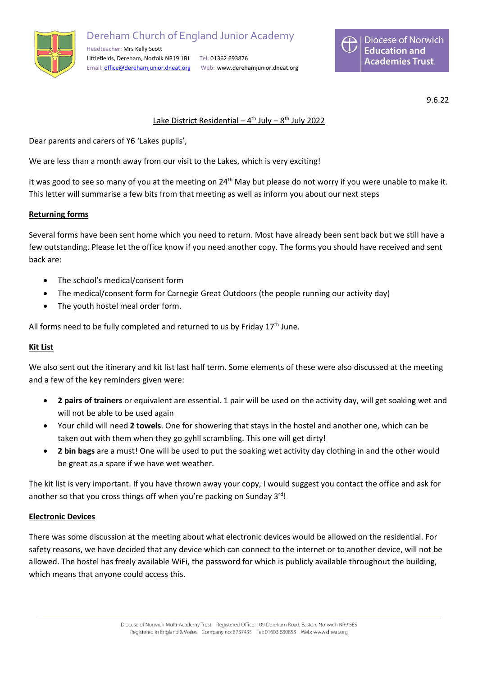

Dereham Church of England Junior Academy Headteacher: Mrs Kelly Scott

Littlefields, Dereham, Norfolk NR19 1BJ Tel: 01362 693876 Email: [office@derehamjunior.dneat.org](mailto:office@derehamjunior.dneat.org) Web: www.derehamjunior.dneat.org



9.6.22

# Lake District Residential - 4<sup>th</sup> July - 8<sup>th</sup> July 2022

Dear parents and carers of Y6 'Lakes pupils',

We are less than a month away from our visit to the Lakes, which is very exciting!

It was good to see so many of you at the meeting on  $24<sup>th</sup>$  May but please do not worry if you were unable to make it. This letter will summarise a few bits from that meeting as well as inform you about our next steps

### **Returning forms**

Several forms have been sent home which you need to return. Most have already been sent back but we still have a few outstanding. Please let the office know if you need another copy. The forms you should have received and sent back are:

- The school's medical/consent form
- The medical/consent form for Carnegie Great Outdoors (the people running our activity day)
- The youth hostel meal order form.

All forms need to be fully completed and returned to us by Friday  $17<sup>th</sup>$  June.

## **Kit List**

We also sent out the itinerary and kit list last half term. Some elements of these were also discussed at the meeting and a few of the key reminders given were:

- **2 pairs of trainers** or equivalent are essential. 1 pair will be used on the activity day, will get soaking wet and will not be able to be used again
- Your child will need **2 towels**. One for showering that stays in the hostel and another one, which can be taken out with them when they go gyhll scrambling. This one will get dirty!
- **2 bin bags** are a must! One will be used to put the soaking wet activity day clothing in and the other would be great as a spare if we have wet weather.

The kit list is very important. If you have thrown away your copy, I would suggest you contact the office and ask for another so that you cross things off when you're packing on Sunday 3<sup>rd</sup>!

#### **Electronic Devices**

There was some discussion at the meeting about what electronic devices would be allowed on the residential. For safety reasons, we have decided that any device which can connect to the internet or to another device, will not be allowed. The hostel has freely available WiFi, the password for which is publicly available throughout the building, which means that anyone could access this.